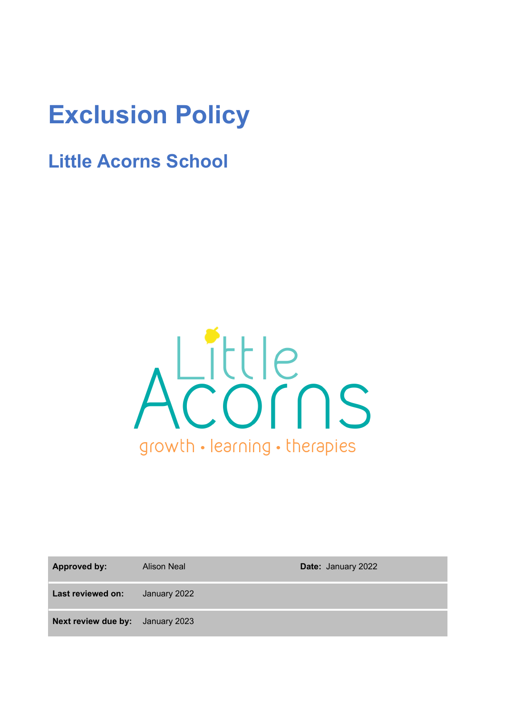# **Exclusion Policy**

# **Little Acorns School**



| <b>Approved by:</b>                     | <b>Alison Neal</b> | Date: January 2022 |
|-----------------------------------------|--------------------|--------------------|
| Last reviewed on:                       | January 2022       |                    |
| <b>Next review due by:</b> January 2023 |                    |                    |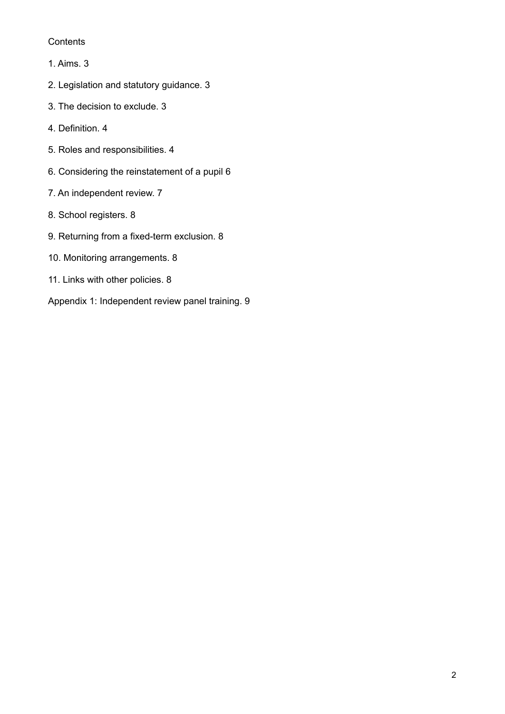## **Contents**

- 1. Aims. 3
- 2. Legislation and statutory guidance. 3
- 3. The decision to exclude. 3
- 4. Definition. 4
- 5. Roles and responsibilities. 4
- 6. Considering the reinstatement of a pupil 6
- 7. An independent review. 7
- 8. School registers. 8
- 9. Returning from a fixed-term exclusion. 8
- 10. Monitoring arrangements. 8
- 11. Links with other policies. 8
- Appendix 1: Independent review panel training. 9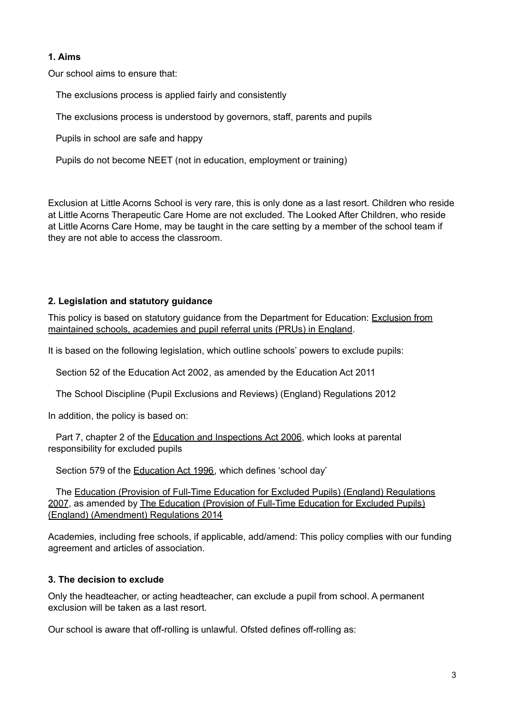# **1. Aims**

Our school aims to ensure that:

The exclusions process is applied fairly and consistently

The exclusions process is understood by governors, staff, parents and pupils

Pupils in school are safe and happy

Pupils do not become NEET (not in education, employment or training)

Exclusion at Little Acorns School is very rare, this is only done as a last resort. Children who reside at Little Acorns Therapeutic Care Home are not excluded. The Looked After Children, who reside at Little Acorns Care Home, may be taught in the care setting by a member of the school team if they are not able to access the classroom.

# **2. Legislation and statutory guidance**

This policy is based on statutory guidance from the Department for Education: [Exclusion](https://www.gov.uk/government/publications/school-exclusion) from [maintained](https://www.gov.uk/government/publications/school-exclusion) schools, academies and pupil referral units (PRUs) in England.

It is based on the following legislation, which outline schools' powers to exclude pupils:

Section 52 of the [Education](http://www.legislation.gov.uk/ukpga/2002/32/section/52) Act 2002, as amended by the [Education](http://www.legislation.gov.uk/ukpga/2011/21/contents/enacted) Act 2011

The School Discipline (Pupil Exclusions and Reviews) (England) [Regulations](http://www.legislation.gov.uk/uksi/2012/1033/made) 2012

In addition, the policy is based on:

Part 7, chapter 2 of the Education and [Inspections](http://www.legislation.gov.uk/ukpga/2006/40/part/7/chapter/2) Act 2006, which looks at parental responsibility for excluded pupils

Section 579 of the [Education](http://www.legislation.gov.uk/ukpga/1996/56/section/579) Act 1996, which defines 'school day'

The Education (Provision of Full-Time Education for Excluded Pupils) (England) [Regulations](http://www.legislation.gov.uk/uksi/2007/1870/contents/made) [2007](http://www.legislation.gov.uk/uksi/2007/1870/contents/made), as amended by The Education (Provision of Full-Time [Education](http://www.legislation.gov.uk/uksi/2014/3216/contents/made) for Excluded Pupils) (England) [\(Amendment\)](http://www.legislation.gov.uk/uksi/2014/3216/contents/made) Regulations 2014

Academies, including free schools, if applicable, add/amend: This policy complies with our funding agreement and articles of association.

# **3. The decision to exclude**

Only the headteacher, or acting headteacher, can exclude a pupil from school. A permanent exclusion will be taken as a last resort.

Our school is aware that off-rolling is unlawful. Ofsted defines off-rolling as: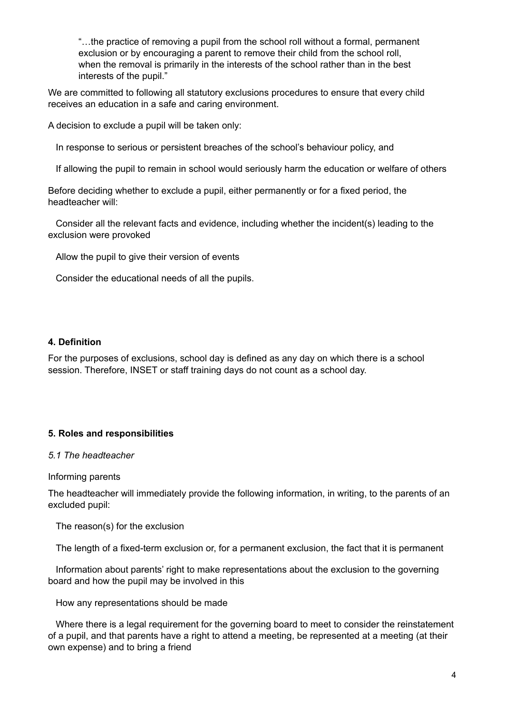"…the practice of removing a pupil from the school roll without a formal, permanent exclusion or by encouraging a parent to remove their child from the school roll, when the removal is primarily in the interests of the school rather than in the best interests of the pupil."

We are committed to following all statutory exclusions procedures to ensure that every child receives an education in a safe and caring environment.

A decision to exclude a pupil will be taken only:

In response to serious or persistent breaches of the school's behaviour policy, and

If allowing the pupil to remain in school would seriously harm the education or welfare of others

Before deciding whether to exclude a pupil, either permanently or for a fixed period, the headteacher will:

Consider all the relevant facts and evidence, including whether the incident(s) leading to the exclusion were provoked

Allow the pupil to give their version of events

Consider the educational needs of all the pupils.

#### **4. Definition**

For the purposes of exclusions, school day is defined as any day on which there is a school session. Therefore, INSET or staff training days do not count as a school day.

#### **5. Roles and responsibilities**

#### *5.1 The headteacher*

Informing parents

The headteacher will immediately provide the following information, in writing, to the parents of an excluded pupil:

The reason(s) for the exclusion

The length of a fixed-term exclusion or, for a permanent exclusion, the fact that it is permanent

Information about parents' right to make representations about the exclusion to the governing board and how the pupil may be involved in this

How any representations should be made

Where there is a legal requirement for the governing board to meet to consider the reinstatement of a pupil, and that parents have a right to attend a meeting, be represented at a meeting (at their own expense) and to bring a friend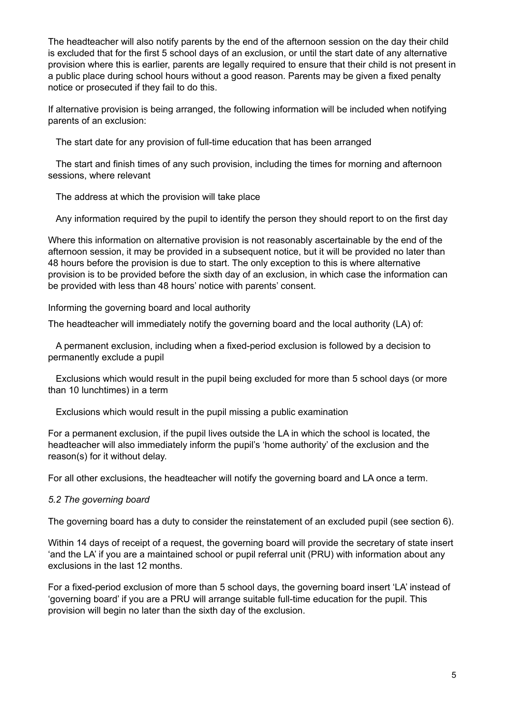The headteacher will also notify parents by the end of the afternoon session on the day their child is excluded that for the first 5 school days of an exclusion, or until the start date of any alternative provision where this is earlier, parents are legally required to ensure that their child is not present in a public place during school hours without a good reason. Parents may be given a fixed penalty notice or prosecuted if they fail to do this.

If alternative provision is being arranged, the following information will be included when notifying parents of an exclusion:

The start date for any provision of full-time education that has been arranged

The start and finish times of any such provision, including the times for morning and afternoon sessions, where relevant

The address at which the provision will take place

Any information required by the pupil to identify the person they should report to on the first day

Where this information on alternative provision is not reasonably ascertainable by the end of the afternoon session, it may be provided in a subsequent notice, but it will be provided no later than 48 hours before the provision is due to start. The only exception to this is where alternative provision is to be provided before the sixth day of an exclusion, in which case the information can be provided with less than 48 hours' notice with parents' consent.

Informing the governing board and local authority

The headteacher will immediately notify the governing board and the local authority (LA) of:

A permanent exclusion, including when a fixed-period exclusion is followed by a decision to permanently exclude a pupil

Exclusions which would result in the pupil being excluded for more than 5 school days (or more than 10 lunchtimes) in a term

Exclusions which would result in the pupil missing a public examination

For a permanent exclusion, if the pupil lives outside the LA in which the school is located, the headteacher will also immediately inform the pupil's 'home authority' of the exclusion and the reason(s) for it without delay.

For all other exclusions, the headteacher will notify the governing board and LA once a term.

# *5.2 The governing board*

The governing board has a duty to consider the reinstatement of an excluded pupil (see section 6).

Within 14 days of receipt of a request, the governing board will provide the secretary of state insert 'and the LA' if you are a maintained school or pupil referral unit (PRU) with information about any exclusions in the last 12 months.

For a fixed-period exclusion of more than 5 school days, the governing board insert 'LA' instead of 'governing board' if you are a PRU will arrange suitable full-time education for the pupil. This provision will begin no later than the sixth day of the exclusion.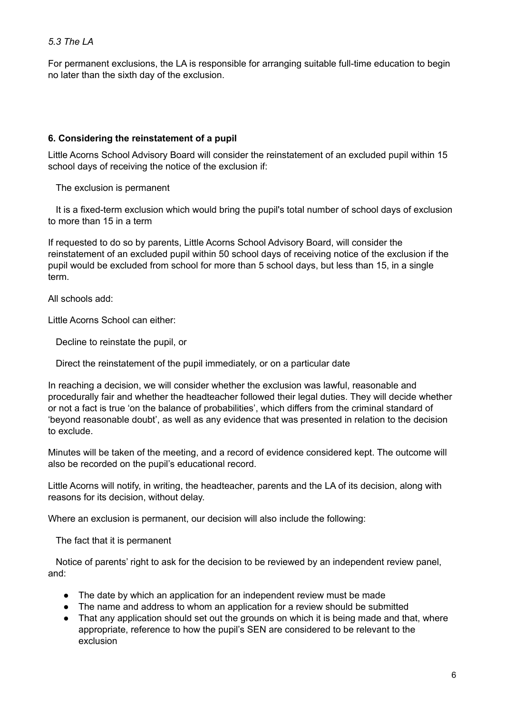# *5.3 The LA*

For permanent exclusions, the LA is responsible for arranging suitable full-time education to begin no later than the sixth day of the exclusion.

#### **6. Considering the reinstatement of a pupil**

Little Acorns School Advisory Board will consider the reinstatement of an excluded pupil within 15 school days of receiving the notice of the exclusion if:

The exclusion is permanent

It is a fixed-term exclusion which would bring the pupil's total number of school days of exclusion to more than 15 in a term

If requested to do so by parents, Little Acorns School Advisory Board, will consider the reinstatement of an excluded pupil within 50 school days of receiving notice of the exclusion if the pupil would be excluded from school for more than 5 school days, but less than 15, in a single term.

All schools add:

Little Acorns School can either:

Decline to reinstate the pupil, or

Direct the reinstatement of the pupil immediately, or on a particular date

In reaching a decision, we will consider whether the exclusion was lawful, reasonable and procedurally fair and whether the headteacher followed their legal duties. They will decide whether or not a fact is true 'on the balance of probabilities', which differs from the criminal standard of 'beyond reasonable doubt', as well as any evidence that was presented in relation to the decision to exclude.

Minutes will be taken of the meeting, and a record of evidence considered kept. The outcome will also be recorded on the pupil's educational record.

Little Acorns will notify, in writing, the headteacher, parents and the LA of its decision, along with reasons for its decision, without delay.

Where an exclusion is permanent, our decision will also include the following:

The fact that it is permanent

Notice of parents' right to ask for the decision to be reviewed by an independent review panel, and:

- The date by which an application for an independent review must be made
- The name and address to whom an application for a review should be submitted
- That any application should set out the grounds on which it is being made and that, where appropriate, reference to how the pupil's SEN are considered to be relevant to the exclusion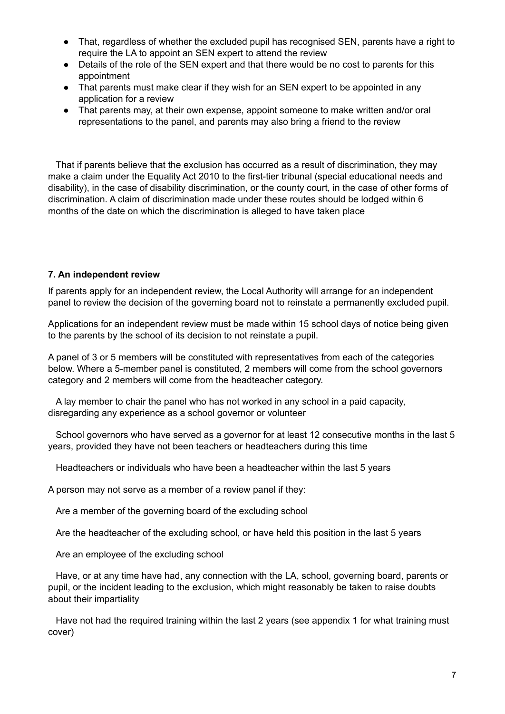- That, regardless of whether the excluded pupil has recognised SEN, parents have a right to require the LA to appoint an SEN expert to attend the review
- Details of the role of the SEN expert and that there would be no cost to parents for this appointment
- That parents must make clear if they wish for an SEN expert to be appointed in any application for a review
- That parents may, at their own expense, appoint someone to make written and/or oral representations to the panel, and parents may also bring a friend to the review

That if parents believe that the exclusion has occurred as a result of discrimination, they may make a claim under the Equality Act 2010 to the first-tier tribunal (special educational needs and disability), in the case of disability discrimination, or the county court, in the case of other forms of discrimination. A claim of discrimination made under these routes should be lodged within 6 months of the date on which the discrimination is alleged to have taken place

#### **7. An independent review**

If parents apply for an independent review, the Local Authority will arrange for an independent panel to review the decision of the governing board not to reinstate a permanently excluded pupil.

Applications for an independent review must be made within 15 school days of notice being given to the parents by the school of its decision to not reinstate a pupil.

A panel of 3 or 5 members will be constituted with representatives from each of the categories below. Where a 5-member panel is constituted, 2 members will come from the school governors category and 2 members will come from the headteacher category.

A lay member to chair the panel who has not worked in any school in a paid capacity, disregarding any experience as a school governor or volunteer

School governors who have served as a governor for at least 12 consecutive months in the last 5 years, provided they have not been teachers or headteachers during this time

Headteachers or individuals who have been a headteacher within the last 5 years

A person may not serve as a member of a review panel if they:

Are a member of the governing board of the excluding school

Are the headteacher of the excluding school, or have held this position in the last 5 years

Are an employee of the excluding school

Have, or at any time have had, any connection with the LA, school, governing board, parents or pupil, or the incident leading to the exclusion, which might reasonably be taken to raise doubts about their impartiality

Have not had the required training within the last 2 years (see appendix 1 for what training must cover)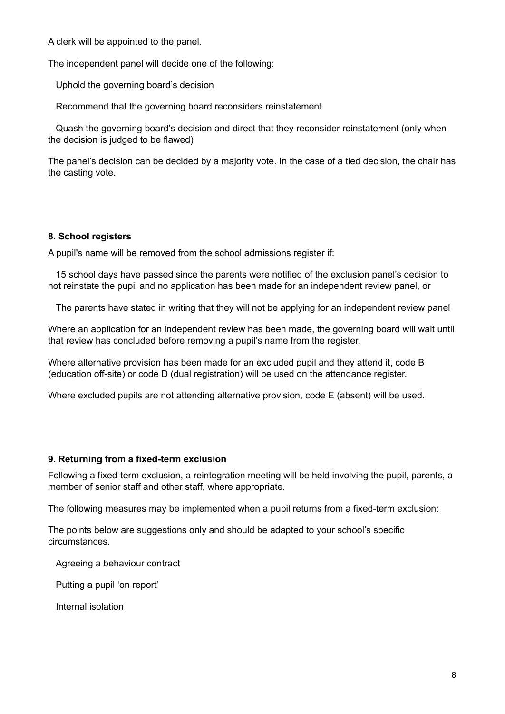A clerk will be appointed to the panel.

The independent panel will decide one of the following:

Uphold the governing board's decision

Recommend that the governing board reconsiders reinstatement

Quash the governing board's decision and direct that they reconsider reinstatement (only when the decision is judged to be flawed)

The panel's decision can be decided by a majority vote. In the case of a tied decision, the chair has the casting vote.

# **8. School registers**

A pupil's name will be removed from the school admissions register if:

15 school days have passed since the parents were notified of the exclusion panel's decision to not reinstate the pupil and no application has been made for an independent review panel, or

The parents have stated in writing that they will not be applying for an independent review panel

Where an application for an independent review has been made, the governing board will wait until that review has concluded before removing a pupil's name from the register.

Where alternative provision has been made for an excluded pupil and they attend it, code B (education off-site) or code D (dual registration) will be used on the attendance register.

Where excluded pupils are not attending alternative provision, code E (absent) will be used.

#### **9. Returning from a fixed-term exclusion**

Following a fixed-term exclusion, a reintegration meeting will be held involving the pupil, parents, a member of senior staff and other staff, where appropriate.

The following measures may be implemented when a pupil returns from a fixed-term exclusion:

The points below are suggestions only and should be adapted to your school's specific circumstances.

Agreeing a behaviour contract

Putting a pupil 'on report'

Internal isolation